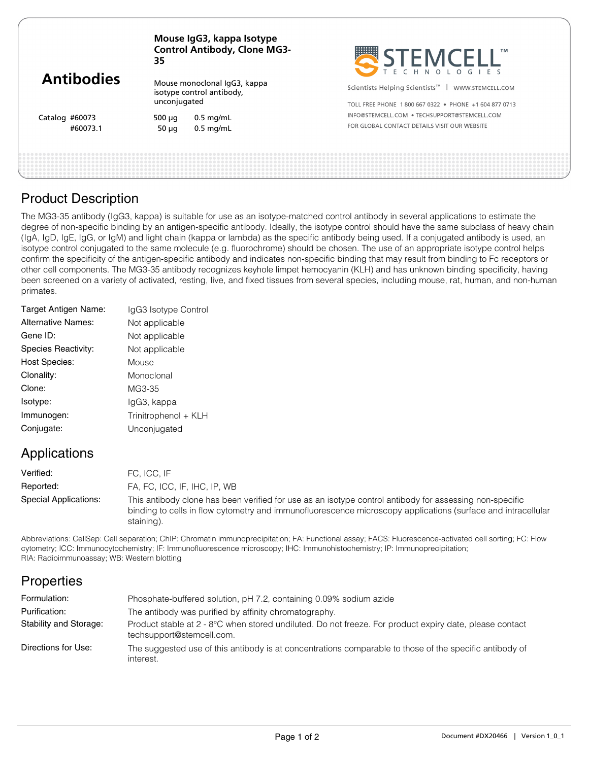| <b>Antibodies</b> | Mouse IgG3, kappa Isotype<br><b>Control Antibody, Clone MG3-</b><br>35    |             | STEMCELL'                                                      |
|-------------------|---------------------------------------------------------------------------|-------------|----------------------------------------------------------------|
|                   | Mouse monoclonal IgG3, kappa<br>isotype control antibody,<br>unconjugated |             | Scientists Helping Scientists <sup>™</sup><br>WWW.STEMCELL.COM |
|                   |                                                                           |             | TOLL FREE PHONE 1800 667 0322 . PHONE +1 604 877 0713          |
| Catalog #60073    | 500 $\mu$ q                                                               | $0.5$ mg/mL | INFO@STEMCELL.COM • TECHSUPPORT@STEMCELL.COM                   |
| #60073.1          | 50 $\mu$ g                                                                | $0.5$ mg/mL | FOR GLOBAL CONTACT DETAILS VISIT OUR WEBSITE                   |
|                   |                                                                           |             |                                                                |
|                   |                                                                           |             |                                                                |

## Product Description

The MG3-35 antibody (IgG3, kappa) is suitable for use as an isotype-matched control antibody in several applications to estimate the degree of non-specific binding by an antigen-specific antibody. Ideally, the isotype control should have the same subclass of heavy chain (IgA, IgD, IgE, IgG, or IgM) and light chain (kappa or lambda) as the specific antibody being used. If a conjugated antibody is used, an isotype control conjugated to the same molecule (e.g. fluorochrome) should be chosen. The use of an appropriate isotype control helps confirm the specificity of the antigen-specific antibody and indicates non-specific binding that may result from binding to Fc receptors or other cell components. The MG3-35 antibody recognizes keyhole limpet hemocyanin (KLH) and has unknown binding specificity, having been screened on a variety of activated, resting, live, and fixed tissues from several species, including mouse, rat, human, and non-human primates.

| IgG3 Isotype Control |
|----------------------|
| Not applicable       |
| Not applicable       |
| Not applicable       |
| Mouse                |
| Monoclonal           |
| MG3-35               |
| lgG3, kappa          |
| Trinitrophenol + KLH |
| Unconjugated         |
|                      |

# Applications

| Verified:             | FC. ICC. IF                                                                                                                                                                                                                           |
|-----------------------|---------------------------------------------------------------------------------------------------------------------------------------------------------------------------------------------------------------------------------------|
| Reported:             | FA, FC, ICC, IF, IHC, IP, WB                                                                                                                                                                                                          |
| Special Applications: | This antibody clone has been verified for use as an isotype control antibody for assessing non-specific<br>binding to cells in flow cytometry and immunofluorescence microscopy applications (surface and intracellular<br>staining). |

Abbreviations: CellSep: Cell separation; ChIP: Chromatin immunoprecipitation; FA: Functional assay; FACS: Fluorescence-activated cell sorting; FC: Flow cytometry; ICC: Immunocytochemistry; IF: Immunofluorescence microscopy; IHC: Immunohistochemistry; IP: Immunoprecipitation; RIA: Radioimmunoassay; WB: Western blotting

# **Properties**

| Formulation:           | Phosphate-buffered solution, pH 7.2, containing 0.09% sodium azide                                                                   |
|------------------------|--------------------------------------------------------------------------------------------------------------------------------------|
| Purification:          | The antibody was purified by affinity chromatography.                                                                                |
| Stability and Storage: | Product stable at 2 - 8°C when stored undiluted. Do not freeze. For product expiry date, please contact<br>techsupport@stemcell.com. |
| Directions for Use:    | The suggested use of this antibody is at concentrations comparable to those of the specific antibody of<br>interest.                 |